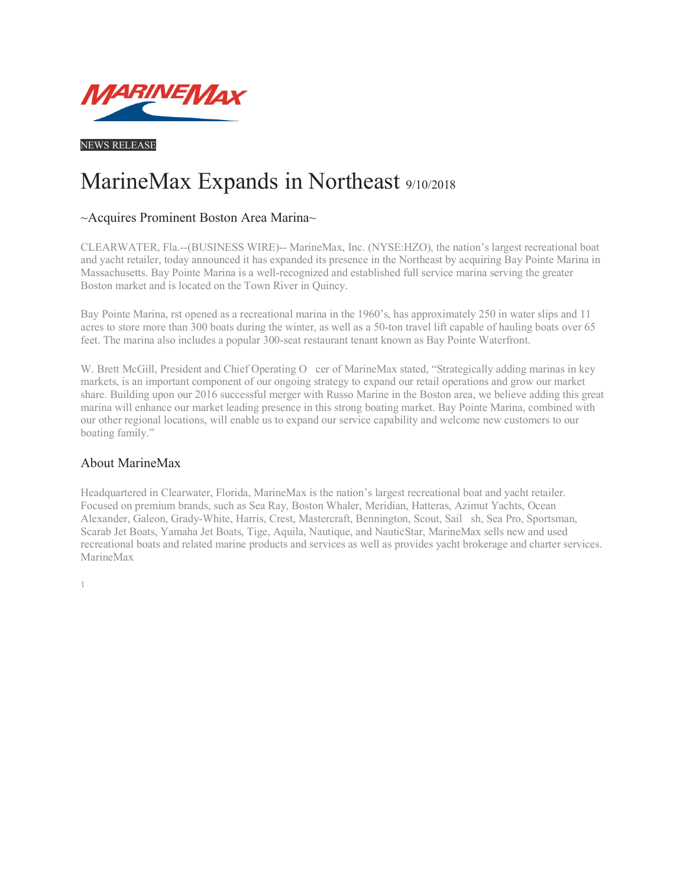

NEWS RELEASE

## MarineMax Expands in Northeast 9/10/2018

## ~Acquires Prominent Boston Area Marina~

CLEARWATER, Fla.--(BUSINESS WIRE)-- MarineMax, Inc. (NYSE:HZO), the nation's largest recreational boat and yacht retailer, today announced it has expanded its presence in the Northeast by acquiring Bay Pointe Marina in Massachusetts. Bay Pointe Marina is a well-recognized and established full service marina serving the greater Boston market and is located on the Town River in Quincy.

Bay Pointe Marina, rst opened as a recreational marina in the 1960's, has approximately 250 in water slips and 11 acres to store more than 300 boats during the winter, as well as a 50-ton travel lift capable of hauling boats over 65 feet. The marina also includes a popular 300-seat restaurant tenant known as Bay Pointe Waterfront.

W. Brett McGill, President and Chief Operating O cer of MarineMax stated, "Strategically adding marinas in key markets, is an important component of our ongoing strategy to expand our retail operations and grow our market share. Building upon our 2016 successful merger with Russo Marine in the Boston area, we believe adding this great marina will enhance our market leading presence in this strong boating market. Bay Pointe Marina, combined with our other regional locations, will enable us to expand our service capability and welcome new customers to our boating family."

## About MarineMax

1

Headquartered in Clearwater, Florida, MarineMax is the nation's largest recreational boat and yacht retailer. Focused on premium brands, such as Sea Ray, Boston Whaler, Meridian, Hatteras, Azimut Yachts, Ocean Alexander, Galeon, Grady-White, Harris, Crest, Mastercraft, Bennington, Scout, Sailsh, Sea Pro, Sportsman, Scarab Jet Boats, Yamaha Jet Boats, Tige, Aquila, Nautique, and NauticStar, MarineMax sells new and used recreational boats and related marine products and services as well as provides yacht brokerage and charter services. MarineMax